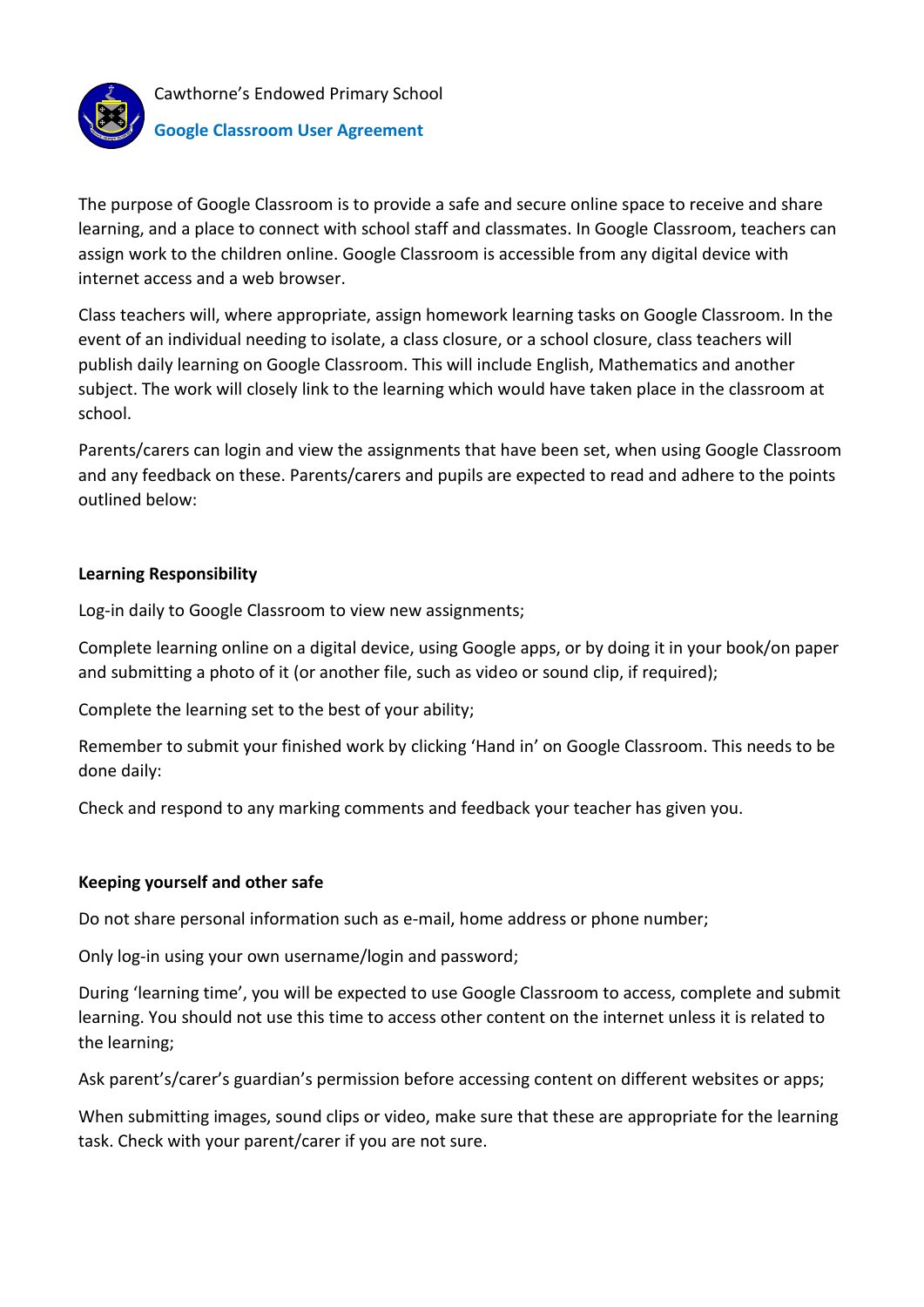

# **Google Classroom User Agreement**

The purpose of Google Classroom is to provide a safe and secure online space to receive and share learning, and a place to connect with school staff and classmates. In Google Classroom, teachers can assign work to the children online. Google Classroom is accessible from any digital device with internet access and a web browser.

Class teachers will, where appropriate, assign homework learning tasks on Google Classroom. In the event of an individual needing to isolate, a class closure, or a school closure, class teachers will publish daily learning on Google Classroom. This will include English, Mathematics and another subject. The work will closely link to the learning which would have taken place in the classroom at school.

Parents/carers can login and view the assignments that have been set, when using Google Classroom and any feedback on these. Parents/carers and pupils are expected to read and adhere to the points outlined below:

# **Learning Responsibility**

Log-in daily to Google Classroom to view new assignments;

Complete learning online on a digital device, using Google apps, or by doing it in your book/on paper and submitting a photo of it (or another file, such as video or sound clip, if required);

Complete the learning set to the best of your ability;

Remember to submit your finished work by clicking 'Hand in' on Google Classroom. This needs to be done daily:

Check and respond to any marking comments and feedback your teacher has given you.

# **Keeping yourself and other safe**

Do not share personal information such as e-mail, home address or phone number;

Only log-in using your own username/login and password;

During 'learning time', you will be expected to use Google Classroom to access, complete and submit learning. You should not use this time to access other content on the internet unless it is related to the learning;

Ask parent's/carer's guardian's permission before accessing content on different websites or apps;

When submitting images, sound clips or video, make sure that these are appropriate for the learning task. Check with your parent/carer if you are not sure.